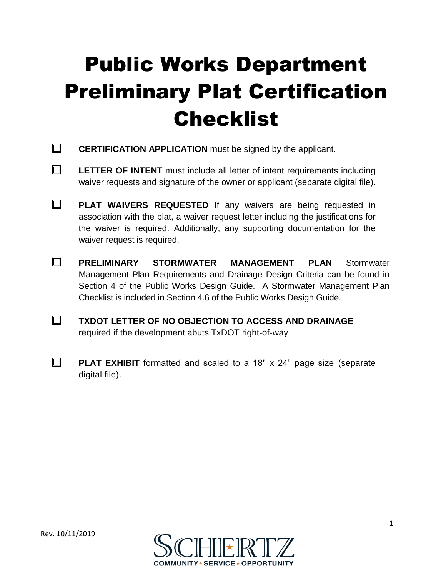## Public Works Department Preliminary Plat Certification Checklist

- $\Box$ **CERTIFICATION APPLICATION** must be signed by the applicant.
- $\Box$ **LETTER OF INTENT** must include all letter of intent requirements including waiver requests and signature of the owner or applicant (separate digital file).
- $\Box$ **PLAT WAIVERS REQUESTED** If any waivers are being requested in association with the plat, a waiver request letter including the justifications for the waiver is required. Additionally, any supporting documentation for the waiver request is required.
- $\Box$ **PRELIMINARY STORMWATER MANAGEMENT PLAN** Stormwater Management Plan Requirements and Drainage Design Criteria can be found in Section 4 of the Public Works Design Guide. A Stormwater Management Plan Checklist is included in Section 4.6 of the Public Works Design Guide.
- $\Box$ **TXDOT LETTER OF NO OBJECTION TO ACCESS AND DRAINAGE** required if the development abuts TxDOT right-of-way
- $\Box$ **PLAT EXHIBIT** formatted and scaled to a 18" x 24" page size (separate digital file).

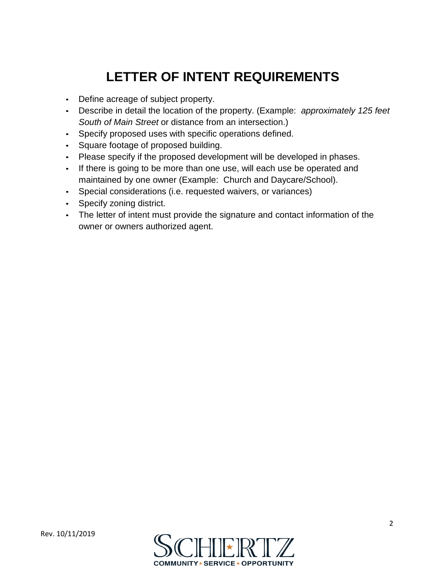## **LETTER OF INTENT REQUIREMENTS**

- Define acreage of subject property.
- Describe in detail the location of the property. (Example: *approximately 125 feet South of Main Street* or distance from an intersection.)
- Specify proposed uses with specific operations defined.
- Square footage of proposed building.
- Please specify if the proposed development will be developed in phases.
- If there is going to be more than one use, will each use be operated and maintained by one owner (Example: Church and Daycare/School).
- Special considerations (i.e. requested waivers, or variances)
- Specify zoning district.
- The letter of intent must provide the signature and contact information of the owner or owners authorized agent.

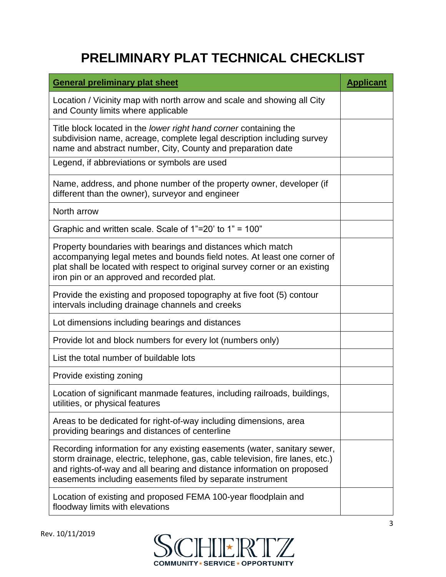## **PRELIMINARY PLAT TECHNICAL CHECKLIST**

| <b>General preliminary plat sheet</b>                                                                                                                                                                                                                                                             | <b>Applicant</b> |
|---------------------------------------------------------------------------------------------------------------------------------------------------------------------------------------------------------------------------------------------------------------------------------------------------|------------------|
| Location / Vicinity map with north arrow and scale and showing all City<br>and County limits where applicable                                                                                                                                                                                     |                  |
| Title block located in the lower right hand corner containing the<br>subdivision name, acreage, complete legal description including survey<br>name and abstract number, City, County and preparation date                                                                                        |                  |
| Legend, if abbreviations or symbols are used                                                                                                                                                                                                                                                      |                  |
| Name, address, and phone number of the property owner, developer (if<br>different than the owner), surveyor and engineer                                                                                                                                                                          |                  |
| North arrow                                                                                                                                                                                                                                                                                       |                  |
| Graphic and written scale. Scale of $1"=20'$ to $1" = 100"$                                                                                                                                                                                                                                       |                  |
| Property boundaries with bearings and distances which match<br>accompanying legal metes and bounds field notes. At least one corner of<br>plat shall be located with respect to original survey corner or an existing<br>iron pin or an approved and recorded plat.                               |                  |
| Provide the existing and proposed topography at five foot (5) contour<br>intervals including drainage channels and creeks                                                                                                                                                                         |                  |
| Lot dimensions including bearings and distances                                                                                                                                                                                                                                                   |                  |
| Provide lot and block numbers for every lot (numbers only)                                                                                                                                                                                                                                        |                  |
| List the total number of buildable lots                                                                                                                                                                                                                                                           |                  |
| Provide existing zoning                                                                                                                                                                                                                                                                           |                  |
| Location of significant manmade features, including railroads, buildings,<br>utilities, or physical features                                                                                                                                                                                      |                  |
| Areas to be dedicated for right-of-way including dimensions, area<br>providing bearings and distances of centerline                                                                                                                                                                               |                  |
| Recording information for any existing easements (water, sanitary sewer,<br>storm drainage, electric, telephone, gas, cable television, fire lanes, etc.)<br>and rights-of-way and all bearing and distance information on proposed<br>easements including easements filed by separate instrument |                  |
| Location of existing and proposed FEMA 100-year floodplain and<br>floodway limits with elevations                                                                                                                                                                                                 |                  |

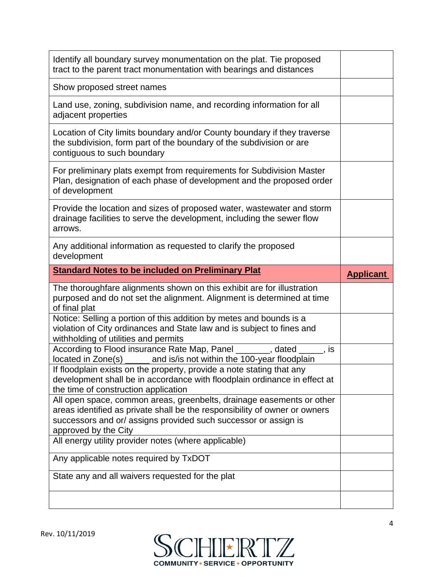| Identify all boundary survey monumentation on the plat. Tie proposed<br>tract to the parent tract monumentation with bearings and distances                                                                                                   |                  |
|-----------------------------------------------------------------------------------------------------------------------------------------------------------------------------------------------------------------------------------------------|------------------|
| Show proposed street names                                                                                                                                                                                                                    |                  |
| Land use, zoning, subdivision name, and recording information for all<br>adjacent properties                                                                                                                                                  |                  |
| Location of City limits boundary and/or County boundary if they traverse<br>the subdivision, form part of the boundary of the subdivision or are<br>contiguous to such boundary                                                               |                  |
| For preliminary plats exempt from requirements for Subdivision Master<br>Plan, designation of each phase of development and the proposed order<br>of development                                                                              |                  |
| Provide the location and sizes of proposed water, wastewater and storm<br>drainage facilities to serve the development, including the sewer flow<br>arrows.                                                                                   |                  |
| Any additional information as requested to clarify the proposed<br>development                                                                                                                                                                |                  |
| <b>Standard Notes to be included on Preliminary Plat</b>                                                                                                                                                                                      | <b>Applicant</b> |
|                                                                                                                                                                                                                                               |                  |
| The thoroughfare alignments shown on this exhibit are for illustration<br>purposed and do not set the alignment. Alignment is determined at time<br>of final plat                                                                             |                  |
| Notice: Selling a portion of this addition by metes and bounds is a<br>violation of City ordinances and State law and is subject to fines and<br>withholding of utilities and permits                                                         |                  |
| According to Flood insurance Rate Map, Panel _______, dated _____, is<br>located in Zone(s)                                                                                                                                                   |                  |
| and is/is not within the 100-year floodplain<br>If floodplain exists on the property, provide a note stating that any<br>development shall be in accordance with floodplain ordinance in effect at<br>the time of construction application    |                  |
| All open space, common areas, greenbelts, drainage easements or other<br>areas identified as private shall be the responsibility of owner or owners<br>successors and or/assigns provided such successor or assign is<br>approved by the City |                  |
| All energy utility provider notes (where applicable)                                                                                                                                                                                          |                  |
| Any applicable notes required by TxDOT                                                                                                                                                                                                        |                  |
| State any and all waivers requested for the plat                                                                                                                                                                                              |                  |